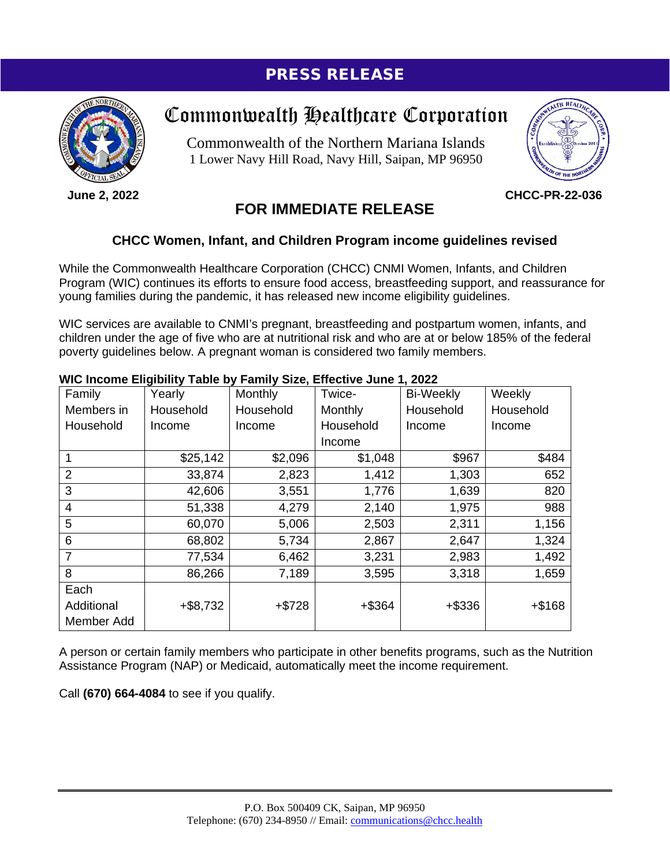## PRESS RELEASE



**June 2, 2022**

# Commonwealth Healthcare Corporation

Commonwealth of the Northern Mariana Islands 1 Lower Navy Hill Road, Navy Hill, Saipan, MP 96950



**CHCC-PR-22-036**

### **FOR IMMEDIATE RELEASE**

### **CHCC Women, Infant, and Children Program income guidelines revised**

While the Commonwealth Healthcare Corporation (CHCC) CNMI Women, Infants, and Children Program (WIC) continues its efforts to ensure food access, breastfeeding support, and reassurance for young families during the pandemic, it has released new income eligibility guidelines.

WIC services are available to CNMI's pregnant, breastfeeding and postpartum women, infants, and children under the age of five who are at nutritional risk and who are at or below 185% of the federal poverty guidelines below. A pregnant woman is considered two family members.

#### Family Members in Household Yearly **Household** Income Monthly **Household** Income Twice-**Monthly** Household Income Bi-Weekly **Household** Income **Weekly Household** Income 1 \$25,142 \$2,096 \$1,048 \$967 \$484 2 33,874 2,823 1,412 1,303 652 3 42,606 3,551 1,776 1,639 820 4 51,338 4,279 2,140 1,975 988 5 60,070 5,006 2,503 2,311 1,156 6 68,802 5,734 2,867 2,647 1,324 7 77,534 6,462 3,231 2,983 1,492 8 86,266 | 7,189 | 3,595 | 3,318 | 1,659 **Each** Additional Member Add +\$8,732 +\$728 +\$364 +\$336 +\$168

#### **WIC Income Eligibility Table by Family Size, Effective June 1, 2022**

A person or certain family members who participate in other benefits programs, such as the Nutrition Assistance Program (NAP) or Medicaid, automatically meet the income requirement.

Call **(670) 664-4084** to see if you qualify.